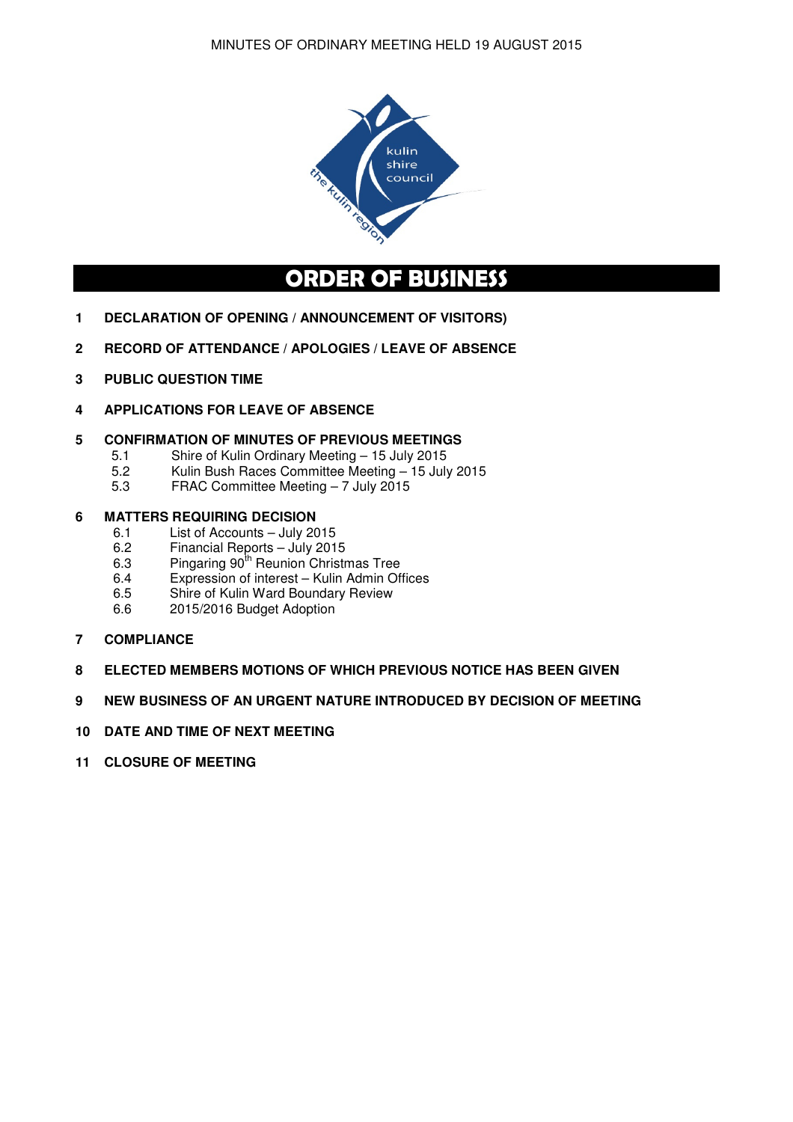

# ORDER OF BUSINESS

- **1 DECLARATION OF OPENING / ANNOUNCEMENT OF VISITORS)**
- **2 RECORD OF ATTENDANCE / APOLOGIES / LEAVE OF ABSENCE**
- **3 PUBLIC QUESTION TIME**
- **4 APPLICATIONS FOR LEAVE OF ABSENCE**

### **5 CONFIRMATION OF MINUTES OF PREVIOUS MEETINGS**

- 5.1 Shire of Kulin Ordinary Meeting 15 July 2015
- 5.2 Kulin Bush Races Committee Meeting 15 July 2015
- 5.3 FRAC Committee Meeting 7 July 2015

# **6 MATTERS REQUIRING DECISION**<br>6.1 List of Accounts – July 20

- 6.1 List of Accounts July 2015<br>6.2 Financial Reports July 201
- 6.2 Financial Reports July 2015
- 6.3 Pingaring 90<sup>th</sup> Reunion Christmas Tree
- 6.4 Expression of interest Kulin Admin Offices
- 6.5 Shire of Kulin Ward Boundary Review
- 6.6 2015/2016 Budget Adoption
- **7 COMPLIANCE**
- **8 ELECTED MEMBERS MOTIONS OF WHICH PREVIOUS NOTICE HAS BEEN GIVEN**
- **9 NEW BUSINESS OF AN URGENT NATURE INTRODUCED BY DECISION OF MEETING**
- **10 DATE AND TIME OF NEXT MEETING**
- **11 CLOSURE OF MEETING**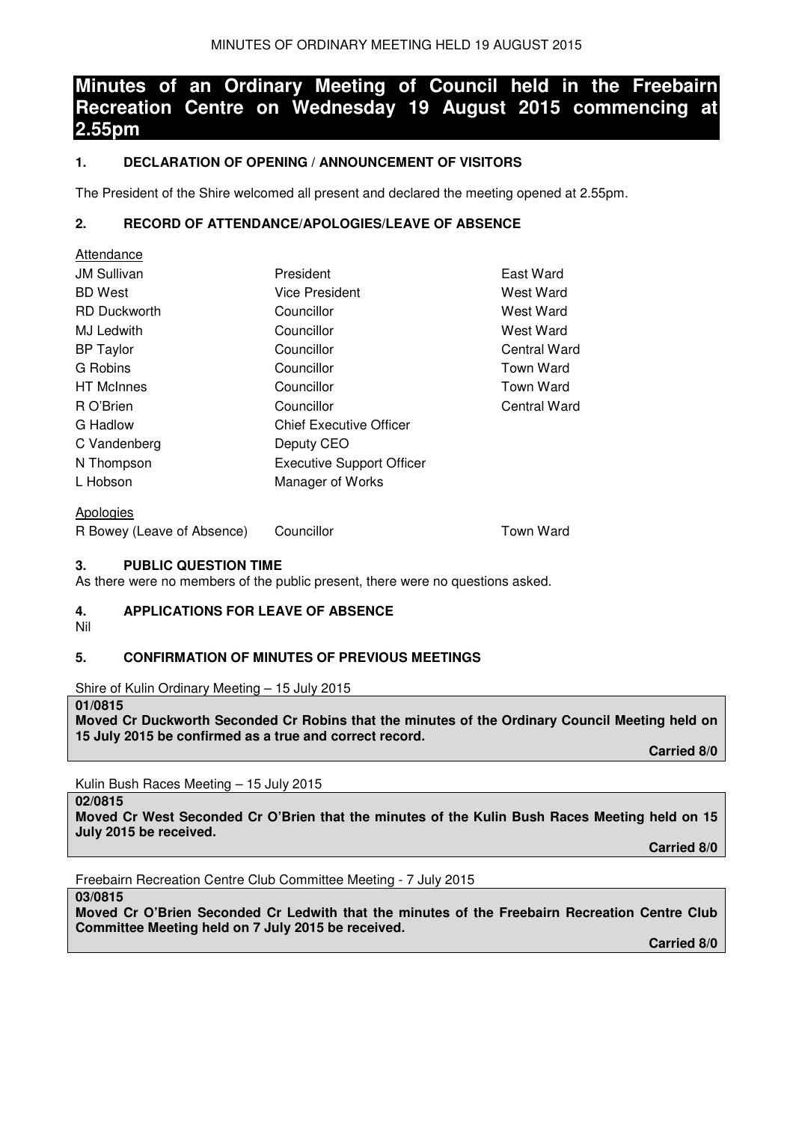# **Minutes of an Ordinary Meeting of Council held in the Freebairn Recreation Centre on Wednesday 19 August 2015 commencing at 2.55pm**

# **1. DECLARATION OF OPENING / ANNOUNCEMENT OF VISITORS**

The President of the Shire welcomed all present and declared the meeting opened at 2.55pm.

# **2. RECORD OF ATTENDANCE/APOLOGIES/LEAVE OF ABSENCE**

| Attendance                 |                                  |                  |
|----------------------------|----------------------------------|------------------|
| <b>JM Sullivan</b>         | President                        | East Ward        |
| <b>BD</b> West             | Vice President                   | West Ward        |
| <b>RD</b> Duckworth        | Councillor                       | West Ward        |
| MJ Ledwith                 | Councillor                       | West Ward        |
| <b>BP</b> Taylor           | Councillor                       | Central Ward     |
| G Robins                   | Councillor                       | Town Ward        |
| <b>HT</b> McInnes          | Councillor                       | Town Ward        |
| R O'Brien                  | Councillor                       | Central Ward     |
| G Hadlow                   | <b>Chief Executive Officer</b>   |                  |
| C Vandenberg               | Deputy CEO                       |                  |
| N Thompson                 | <b>Executive Support Officer</b> |                  |
| L Hobson                   | Manager of Works                 |                  |
| Apologies                  |                                  |                  |
| R Bowey (Leave of Absence) | Councillor                       | <b>Town Ward</b> |

#### **3. PUBLIC QUESTION TIME**

As there were no members of the public present, there were no questions asked.

### **4. APPLICATIONS FOR LEAVE OF ABSENCE**

Nil

# **5. CONFIRMATION OF MINUTES OF PREVIOUS MEETINGS**

Shire of Kulin Ordinary Meeting – 15 July 2015

#### **01/0815**

**Moved Cr Duckworth Seconded Cr Robins that the minutes of the Ordinary Council Meeting held on 15 July 2015 be confirmed as a true and correct record.** 

 **Carried 8/0** 

Kulin Bush Races Meeting – 15 July 2015

**02/0815** 

**Moved Cr West Seconded Cr O'Brien that the minutes of the Kulin Bush Races Meeting held on 15 July 2015 be received.** 

 **Carried 8/0** 

Freebairn Recreation Centre Club Committee Meeting - 7 July 2015

**03/0815** 

**Moved Cr O'Brien Seconded Cr Ledwith that the minutes of the Freebairn Recreation Centre Club Committee Meeting held on 7 July 2015 be received.** 

 **Carried 8/0**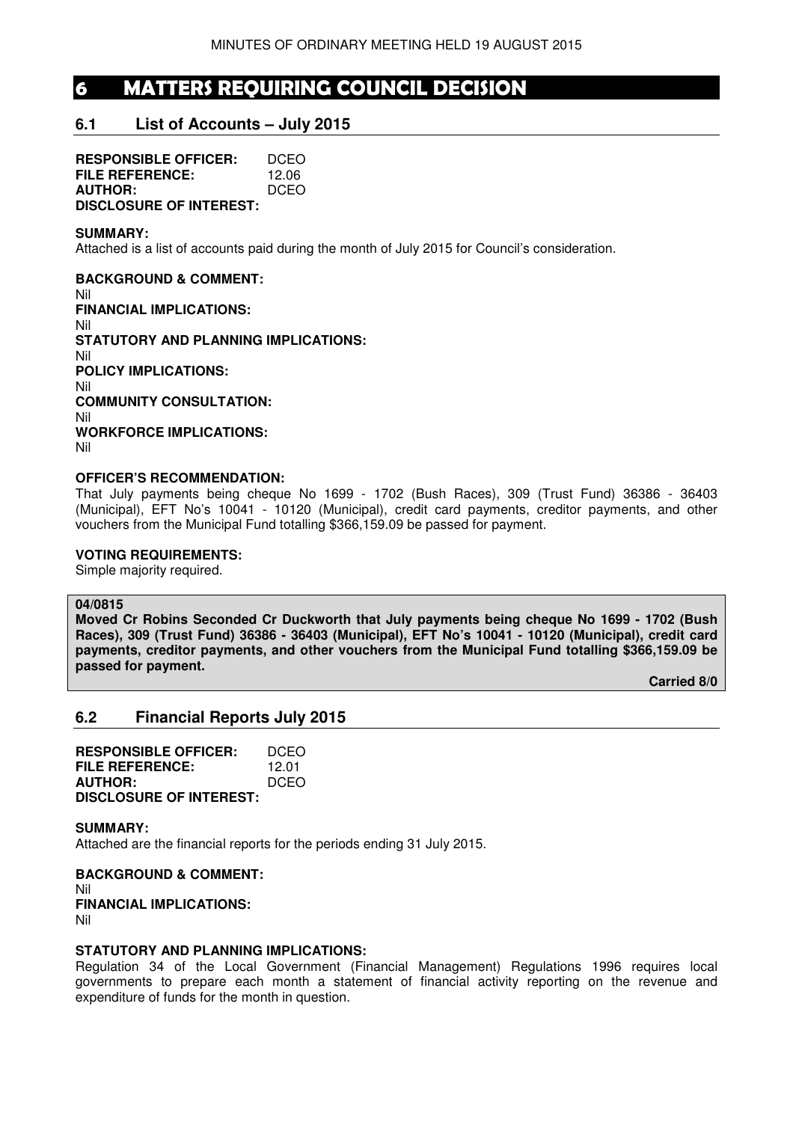# 6 MATTERS REQUIRING COUNCIL DECISION

# **6.1 List of Accounts – July 2015**

**RESPONSIBLE OFFICER:** DCEO **FILE REFERENCE:** 12.06 **AUTHOR:** DCEO **DISCLOSURE OF INTEREST:** 

#### **SUMMARY:**

Attached is a list of accounts paid during the month of July 2015 for Council's consideration.

**BACKGROUND & COMMENT:**  Nil **FINANCIAL IMPLICATIONS:**  Nil **STATUTORY AND PLANNING IMPLICATIONS:**  Nil **POLICY IMPLICATIONS:**  Nil **COMMUNITY CONSULTATION:**  Nil **WORKFORCE IMPLICATIONS:**  Nil

#### **OFFICER'S RECOMMENDATION:**

That July payments being cheque No 1699 - 1702 (Bush Races), 309 (Trust Fund) 36386 - 36403 (Municipal), EFT No's 10041 - 10120 (Municipal), credit card payments, creditor payments, and other vouchers from the Municipal Fund totalling \$366,159.09 be passed for payment.

### **VOTING REQUIREMENTS:**

Simple majority required.

#### **04/0815**

**Moved Cr Robins Seconded Cr Duckworth that July payments being cheque No 1699 - 1702 (Bush Races), 309 (Trust Fund) 36386 - 36403 (Municipal), EFT No's 10041 - 10120 (Municipal), credit card payments, creditor payments, and other vouchers from the Municipal Fund totalling \$366,159.09 be passed for payment.** 

**Carried 8/0** 

# **6.2 Financial Reports July 2015**

| <b>RESPONSIBLE OFFICER:</b>    | DCEO  |
|--------------------------------|-------|
| FILE REFERENCE:                | 12.01 |
| <b>AUTHOR:</b>                 | DCEO  |
| <b>DISCLOSURE OF INTEREST:</b> |       |

**SUMMARY:**  Attached are the financial reports for the periods ending 31 July 2015.

**BACKGROUND & COMMENT:**  Nil **FINANCIAL IMPLICATIONS:**  Nil

#### **STATUTORY AND PLANNING IMPLICATIONS:**

Regulation 34 of the Local Government (Financial Management) Regulations 1996 requires local governments to prepare each month a statement of financial activity reporting on the revenue and expenditure of funds for the month in question.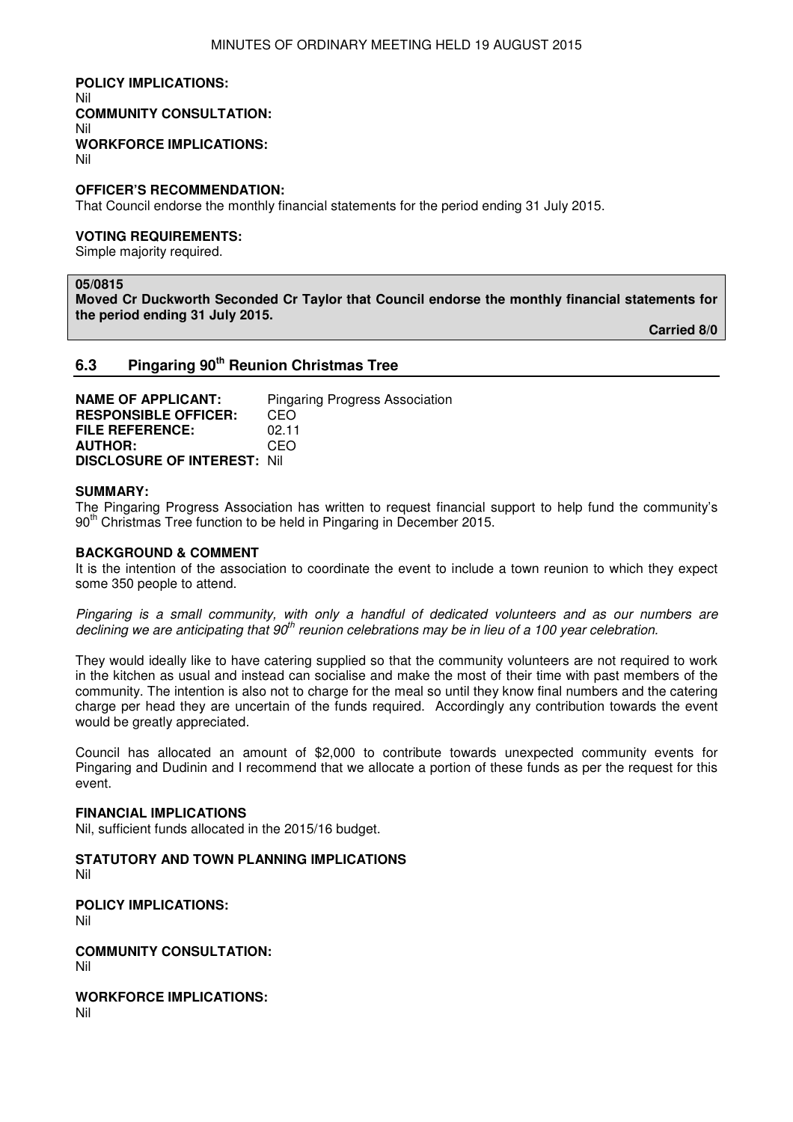**POLICY IMPLICATIONS:**  Nil **COMMUNITY CONSULTATION:**  Nil **WORKFORCE IMPLICATIONS:**  Nil

#### **OFFICER'S RECOMMENDATION:**

That Council endorse the monthly financial statements for the period ending 31 July 2015.

#### **VOTING REQUIREMENTS:**

Simple majority required.

#### **05/0815**

**Moved Cr Duckworth Seconded Cr Taylor that Council endorse the monthly financial statements for the period ending 31 July 2015.** 

**Carried 8/0** 

#### **6.3 Pingaring 90th Reunion Christmas Tree**

| <b>NAME OF APPLICANT:</b>          | <b>Pingaring Progress Association</b> |
|------------------------------------|---------------------------------------|
| <b>RESPONSIBLE OFFICER:</b>        | CEO                                   |
| <b>FILE REFERENCE:</b>             | 02.11                                 |
| <b>AUTHOR:</b>                     | CEO                                   |
| <b>DISCLOSURE OF INTEREST: Nil</b> |                                       |

#### **SUMMARY:**

The Pingaring Progress Association has written to request financial support to help fund the community's 90<sup>th</sup> Christmas Tree function to be held in Pingaring in December 2015.

#### **BACKGROUND & COMMENT**

It is the intention of the association to coordinate the event to include a town reunion to which they expect some 350 people to attend.

Pingaring is a small community, with only a handful of dedicated volunteers and as our numbers are declining we are anticipating that  $90<sup>th</sup>$  reunion celebrations may be in lieu of a 100 year celebration.

They would ideally like to have catering supplied so that the community volunteers are not required to work in the kitchen as usual and instead can socialise and make the most of their time with past members of the community. The intention is also not to charge for the meal so until they know final numbers and the catering charge per head they are uncertain of the funds required. Accordingly any contribution towards the event would be greatly appreciated.

Council has allocated an amount of \$2,000 to contribute towards unexpected community events for Pingaring and Dudinin and I recommend that we allocate a portion of these funds as per the request for this event.

#### **FINANCIAL IMPLICATIONS**

Nil, sufficient funds allocated in the 2015/16 budget.

**STATUTORY AND TOWN PLANNING IMPLICATIONS**  Nil

**POLICY IMPLICATIONS:** Nil

**COMMUNITY CONSULTATION:** Nil

**WORKFORCE IMPLICATIONS:** Nil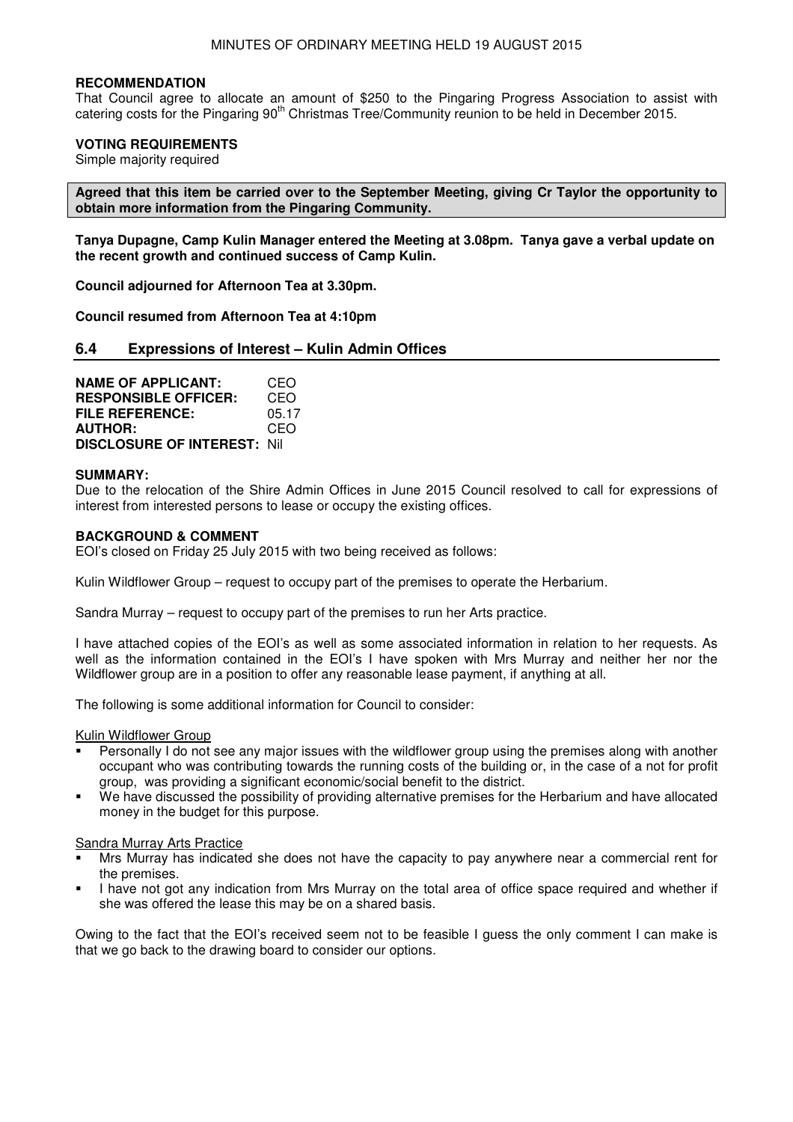#### **RECOMMENDATION**

That Council agree to allocate an amount of \$250 to the Pingaring Progress Association to assist with catering costs for the Pingaring 90<sup>th</sup> Christmas Tree/Community reunion to be held in December 2015.

#### **VOTING REQUIREMENTS**

Simple majority required

**Agreed that this item be carried over to the September Meeting, giving Cr Taylor the opportunity to obtain more information from the Pingaring Community.** 

**Tanya Dupagne, Camp Kulin Manager entered the Meeting at 3.08pm. Tanya gave a verbal update on the recent growth and continued success of Camp Kulin.** 

**Council adjourned for Afternoon Tea at 3.30pm.** 

**Council resumed from Afternoon Tea at 4:10pm** 

#### **6.4 Expressions of Interest – Kulin Admin Offices**

**NAME OF APPLICANT:** CEO **RESPONSIBLE OFFICER:** CEO **FILE REFERENCE:** 05.17 **AUTHOR:** CEO **DISCLOSURE OF INTEREST:** Nil

#### **SUMMARY:**

Due to the relocation of the Shire Admin Offices in June 2015 Council resolved to call for expressions of interest from interested persons to lease or occupy the existing offices.

#### **BACKGROUND & COMMENT**

EOI's closed on Friday 25 July 2015 with two being received as follows:

Kulin Wildflower Group – request to occupy part of the premises to operate the Herbarium.

Sandra Murray – request to occupy part of the premises to run her Arts practice.

I have attached copies of the EOI's as well as some associated information in relation to her requests. As well as the information contained in the EOI's I have spoken with Mrs Murray and neither her nor the Wildflower group are in a position to offer any reasonable lease payment, if anything at all.

The following is some additional information for Council to consider:

Kulin Wildflower Group

- Personally I do not see any major issues with the wildflower group using the premises along with another occupant who was contributing towards the running costs of the building or, in the case of a not for profit group, was providing a significant economic/social benefit to the district.
- We have discussed the possibility of providing alternative premises for the Herbarium and have allocated money in the budget for this purpose.

#### Sandra Murray Arts Practice

- Mrs Murray has indicated she does not have the capacity to pay anywhere near a commercial rent for the premises.
- I have not got any indication from Mrs Murray on the total area of office space required and whether if she was offered the lease this may be on a shared basis.

Owing to the fact that the EOI's received seem not to be feasible I guess the only comment I can make is that we go back to the drawing board to consider our options.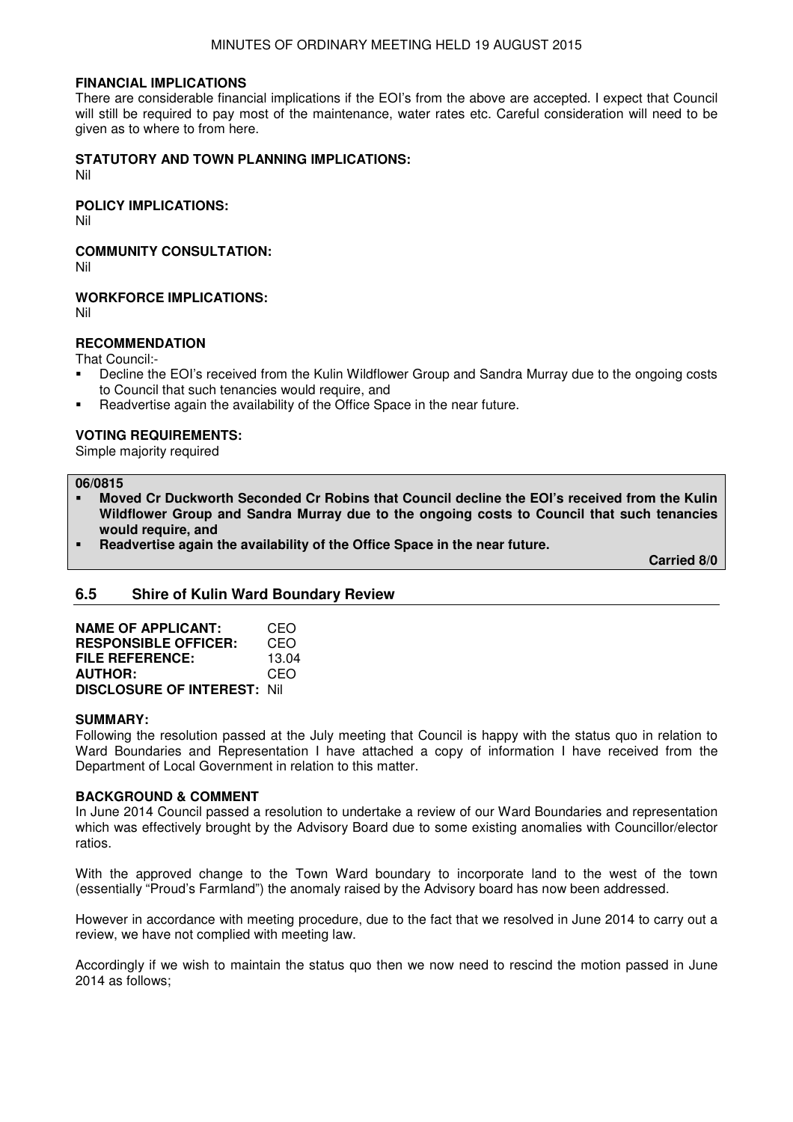#### **FINANCIAL IMPLICATIONS**

There are considerable financial implications if the EOI's from the above are accepted. I expect that Council will still be required to pay most of the maintenance, water rates etc. Careful consideration will need to be given as to where to from here.

#### **STATUTORY AND TOWN PLANNING IMPLICATIONS:**

Nil

#### **POLICY IMPLICATIONS:**

Nil

### **COMMUNITY CONSULTATION:**

Nil

#### **WORKFORCE IMPLICATIONS:**

Nil

### **RECOMMENDATION**

That Council:-

- Decline the EOI's received from the Kulin Wildflower Group and Sandra Murray due to the ongoing costs to Council that such tenancies would require, and
- Readvertise again the availability of the Office Space in the near future.

#### **VOTING REQUIREMENTS:**

Simple majority required

#### **06/0815**

- **Moved Cr Duckworth Seconded Cr Robins that Council decline the EOI's received from the Kulin Wildflower Group and Sandra Murray due to the ongoing costs to Council that such tenancies would require, and**
- **Readvertise again the availability of the Office Space in the near future.**

**Carried 8/0** 

#### **6.5 Shire of Kulin Ward Boundary Review**

| <b>NAME OF APPLICANT:</b>           | CEO   |
|-------------------------------------|-------|
| <b>RESPONSIBLE OFFICER:</b>         | CEO   |
| <b>FILE REFERENCE:</b>              | 13.04 |
| <b>AUTHOR:</b>                      | CEO   |
| <b>DISCLOSURE OF INTEREST: Nill</b> |       |

#### **SUMMARY:**

Following the resolution passed at the July meeting that Council is happy with the status quo in relation to Ward Boundaries and Representation I have attached a copy of information I have received from the Department of Local Government in relation to this matter.

#### **BACKGROUND & COMMENT**

In June 2014 Council passed a resolution to undertake a review of our Ward Boundaries and representation which was effectively brought by the Advisory Board due to some existing anomalies with Councillor/elector ratios.

With the approved change to the Town Ward boundary to incorporate land to the west of the town (essentially "Proud's Farmland") the anomaly raised by the Advisory board has now been addressed.

However in accordance with meeting procedure, due to the fact that we resolved in June 2014 to carry out a review, we have not complied with meeting law.

Accordingly if we wish to maintain the status quo then we now need to rescind the motion passed in June 2014 as follows;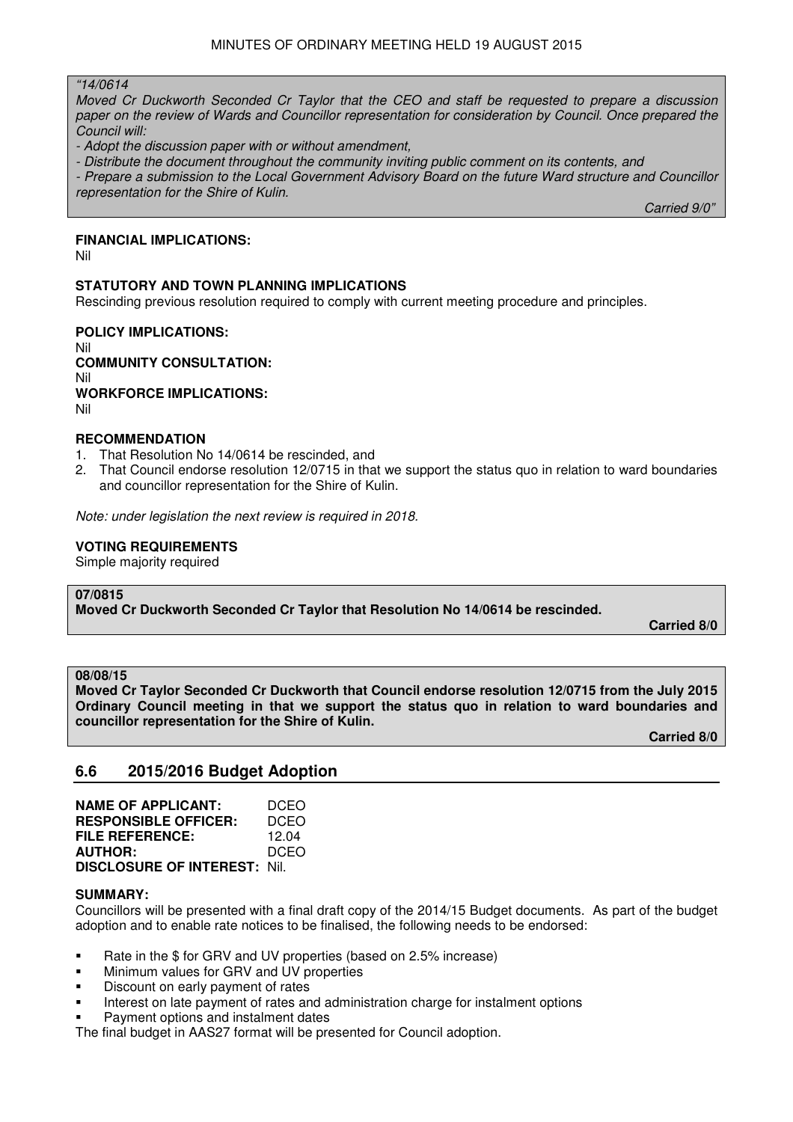#### "14/0614

Moved Cr Duckworth Seconded Cr Taylor that the CEO and staff be requested to prepare a discussion paper on the review of Wards and Councillor representation for consideration by Council. Once prepared the Council will:

- Adopt the discussion paper with or without amendment,

- Distribute the document throughout the community inviting public comment on its contents, and

- Prepare a submission to the Local Government Advisory Board on the future Ward structure and Councillor representation for the Shire of Kulin.

 $C$ arried 9/0"  $C$ arried 9/0"  $C$ arried 9/0"  $C$ 

#### **FINANCIAL IMPLICATIONS:**

Nil

#### **STATUTORY AND TOWN PLANNING IMPLICATIONS**

Rescinding previous resolution required to comply with current meeting procedure and principles.

**POLICY IMPLICATIONS:** Nil **COMMUNITY CONSULTATION:** Nil **WORKFORCE IMPLICATIONS:** Nil

#### **RECOMMENDATION**

- 1. That Resolution No 14/0614 be rescinded, and
- 2. That Council endorse resolution 12/0715 in that we support the status quo in relation to ward boundaries and councillor representation for the Shire of Kulin.

Note: under legislation the next review is required in 2018.

#### **VOTING REQUIREMENTS**

Simple majority required

#### **07/0815**

**Moved Cr Duckworth Seconded Cr Taylor that Resolution No 14/0614 be rescinded.** 

**Carried 8/0** 

#### **08/08/15**

**Moved Cr Taylor Seconded Cr Duckworth that Council endorse resolution 12/0715 from the July 2015 Ordinary Council meeting in that we support the status quo in relation to ward boundaries and councillor representation for the Shire of Kulin.** 

**Carried 8/0** 

# **6.6 2015/2016 Budget Adoption**

| <b>NAME OF APPLICANT:</b>           | DCEO        |
|-------------------------------------|-------------|
| <b>RESPONSIBLE OFFICER:</b>         | DCEO        |
| <b>FILE REFERENCE:</b>              | 12.04       |
| <b>AUTHOR:</b>                      | <b>DCEO</b> |
| <b>DISCLOSURE OF INTEREST: Nil.</b> |             |

#### **SUMMARY:**

Councillors will be presented with a final draft copy of the 2014/15 Budget documents. As part of the budget adoption and to enable rate notices to be finalised, the following needs to be endorsed:

- Rate in the \$ for GRV and UV properties (based on 2.5% increase)
- **Minimum values for GRV and UV properties**
- **•** Discount on early payment of rates
- Interest on late payment of rates and administration charge for instalment options
- Payment options and instalment dates

The final budget in AAS27 format will be presented for Council adoption.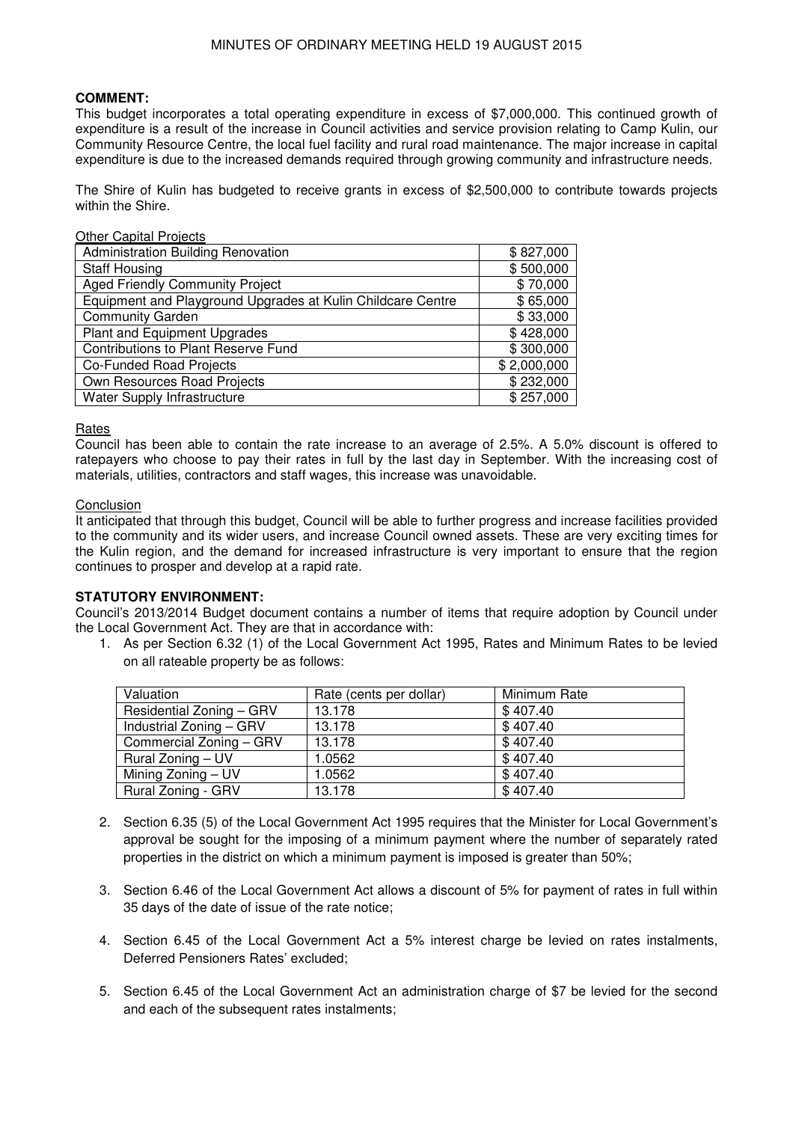### **COMMENT:**

This budget incorporates a total operating expenditure in excess of \$7,000,000. This continued growth of expenditure is a result of the increase in Council activities and service provision relating to Camp Kulin, our Community Resource Centre, the local fuel facility and rural road maintenance. The major increase in capital expenditure is due to the increased demands required through growing community and infrastructure needs.

The Shire of Kulin has budgeted to receive grants in excess of \$2,500,000 to contribute towards projects within the Shire.

#### Other Capital Projects

| \$827,000   |
|-------------|
| \$500,000   |
| \$70,000    |
| \$65,000    |
| \$33,000    |
| \$428,000   |
| \$300,000   |
| \$2,000,000 |
| \$232,000   |
| \$257,000   |
|             |

**Rates** 

Council has been able to contain the rate increase to an average of 2.5%. A 5.0% discount is offered to ratepayers who choose to pay their rates in full by the last day in September. With the increasing cost of materials, utilities, contractors and staff wages, this increase was unavoidable.

#### **Conclusion**

It anticipated that through this budget, Council will be able to further progress and increase facilities provided to the community and its wider users, and increase Council owned assets. These are very exciting times for the Kulin region, and the demand for increased infrastructure is very important to ensure that the region continues to prosper and develop at a rapid rate.

#### **STATUTORY ENVIRONMENT:**

Council's 2013/2014 Budget document contains a number of items that require adoption by Council under the Local Government Act. They are that in accordance with:

1. As per Section 6.32 (1) of the Local Government Act 1995, Rates and Minimum Rates to be levied on all rateable property be as follows:

| Valuation                 | Rate (cents per dollar) | Minimum Rate |
|---------------------------|-------------------------|--------------|
| Residential Zoning - GRV  | 13.178                  | \$407.40     |
| Industrial Zoning - GRV   | 13.178                  | \$407.40     |
| Commercial Zoning - GRV   | 13.178                  | \$407.40     |
| Rural Zoning – UV         | 1.0562                  | \$407.40     |
| Mining Zoning - UV        | 1.0562                  | \$407.40     |
| <b>Rural Zoning - GRV</b> | 13.178                  | \$407.40     |

- 2. Section 6.35 (5) of the Local Government Act 1995 requires that the Minister for Local Government's approval be sought for the imposing of a minimum payment where the number of separately rated properties in the district on which a minimum payment is imposed is greater than 50%;
- 3. Section 6.46 of the Local Government Act allows a discount of 5% for payment of rates in full within 35 days of the date of issue of the rate notice;
- 4. Section 6.45 of the Local Government Act a 5% interest charge be levied on rates instalments, Deferred Pensioners Rates' excluded;
- 5. Section 6.45 of the Local Government Act an administration charge of \$7 be levied for the second and each of the subsequent rates instalments;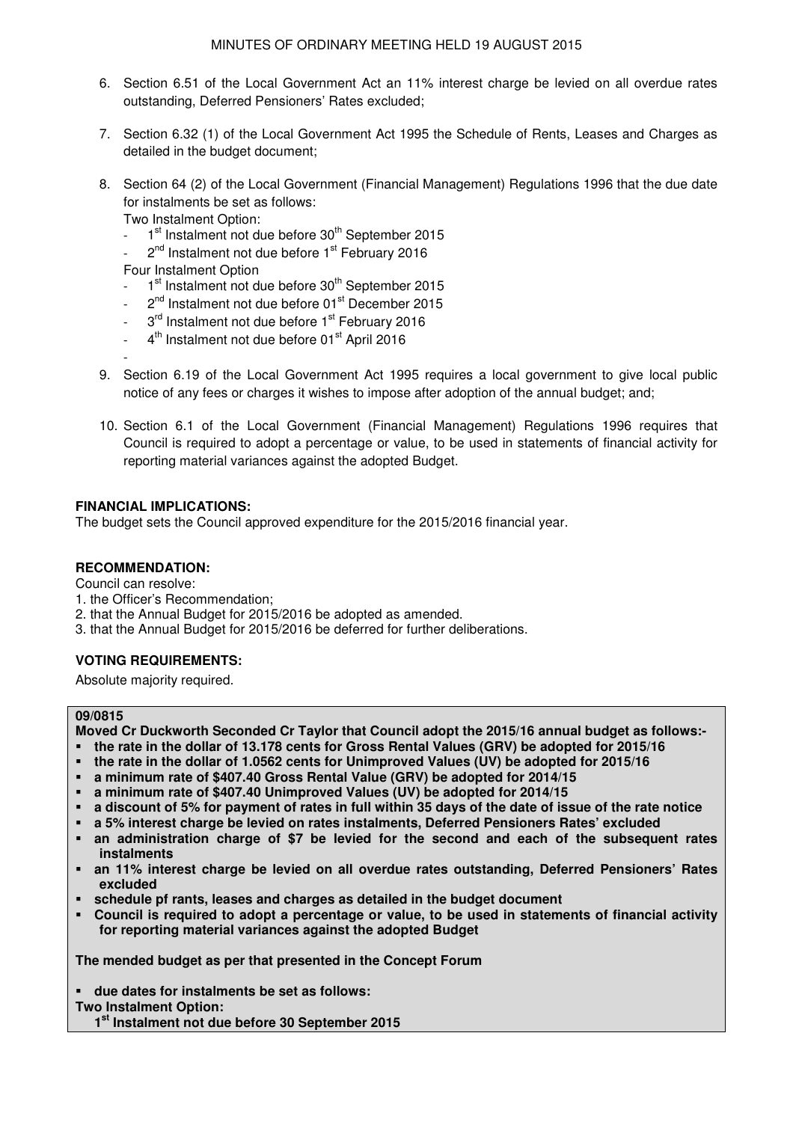- 6. Section 6.51 of the Local Government Act an 11% interest charge be levied on all overdue rates outstanding, Deferred Pensioners' Rates excluded;
- 7. Section 6.32 (1) of the Local Government Act 1995 the Schedule of Rents, Leases and Charges as detailed in the budget document;
- 8. Section 64 (2) of the Local Government (Financial Management) Regulations 1996 that the due date for instalments be set as follows:

Two Instalment Option:

- $1<sup>st</sup>$  Instalment not due before  $30<sup>th</sup>$  September 2015
- $2<sup>nd</sup>$  Instalment not due before  $1<sup>st</sup>$  February 2016

Four Instalment Option

- 1<sup>st</sup> Instalment not due before 30<sup>th</sup> September 2015
- $2<sup>nd</sup>$  Instalment not due before 01 $<sup>st</sup>$  December 2015</sup>
- 3<sup>rd</sup> Instalment not due before 1<sup>st</sup> February 2016
- 4<sup>th</sup> Instalment not due before 01<sup>st</sup> April 2016

-

- 9. Section 6.19 of the Local Government Act 1995 requires a local government to give local public notice of any fees or charges it wishes to impose after adoption of the annual budget; and;
- 10. Section 6.1 of the Local Government (Financial Management) Regulations 1996 requires that Council is required to adopt a percentage or value, to be used in statements of financial activity for reporting material variances against the adopted Budget.

### **FINANCIAL IMPLICATIONS:**

The budget sets the Council approved expenditure for the 2015/2016 financial year.

### **RECOMMENDATION:**

Council can resolve:

- 1. the Officer's Recommendation;
- 2. that the Annual Budget for 2015/2016 be adopted as amended.
- 3. that the Annual Budget for 2015/2016 be deferred for further deliberations.

#### **VOTING REQUIREMENTS:**

Absolute majority required.

#### **09/0815**

**Moved Cr Duckworth Seconded Cr Taylor that Council adopt the 2015/16 annual budget as follows:-** 

- **the rate in the dollar of 13.178 cents for Gross Rental Values (GRV) be adopted for 2015/16**
- **the rate in the dollar of 1.0562 cents for Unimproved Values (UV) be adopted for 2015/16**
- **a minimum rate of \$407.40 Gross Rental Value (GRV) be adopted for 2014/15**
- **a minimum rate of \$407.40 Unimproved Values (UV) be adopted for 2014/15**
- **a discount of 5% for payment of rates in full within 35 days of the date of issue of the rate notice**
- **a 5% interest charge be levied on rates instalments, Deferred Pensioners Rates' excluded**
- **an administration charge of \$7 be levied for the second and each of the subsequent rates instalments**
- **an 11% interest charge be levied on all overdue rates outstanding, Deferred Pensioners' Rates excluded**
- **schedule pf rants, leases and charges as detailed in the budget document**
- **Council is required to adopt a percentage or value, to be used in statements of financial activity for reporting material variances against the adopted Budget**

**The mended budget as per that presented in the Concept Forum** 

**due dates for instalments be set as follows:** 

#### **Two Instalment Option:**

 **1st Instalment not due before 30 September 2015**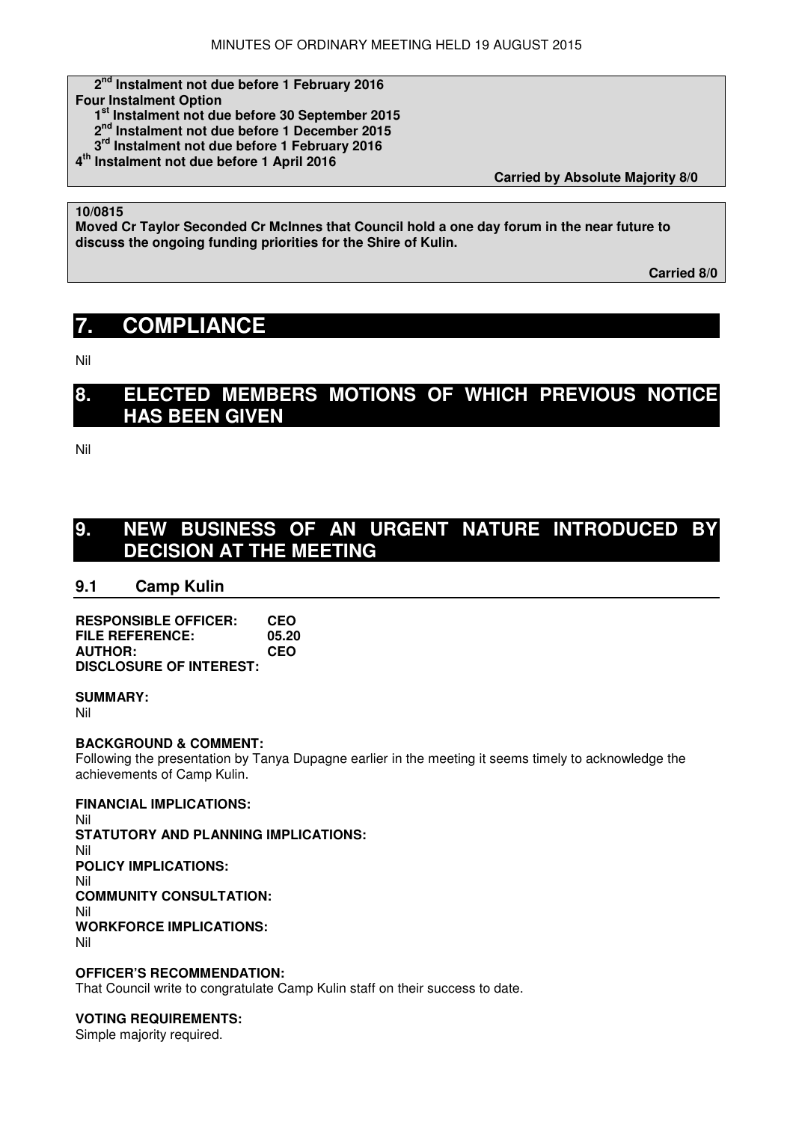# **2nd Instalment not due before 1 February 2016**

- **Four Instalment Option** 
	- **1st Instalment not due before 30 September 2015**
	- **2nd Instalment not due before 1 December 2015**
	- **3rd Instalment not due before 1 February 2016**
- **4 th Instalment not due before 1 April 2016**

 **Carried by Absolute Majority 8/0** 

# **10/0815**

**Moved Cr Taylor Seconded Cr McInnes that Council hold a one day forum in the near future to discuss the ongoing funding priorities for the Shire of Kulin.** 

 **Carried 8/0** 

# **7. COMPLIANCE**

Nil

# **8. ELECTED MEMBERS MOTIONS OF WHICH PREVIOUS NOTICE HAS BEEN GIVEN**

Nil

# **9. NEW BUSINESS OF AN URGENT NATURE INTRODUCED BY DECISION AT THE MEETING**

# **9.1 Camp Kulin**

| <b>RESPONSIBLE OFFICER:</b>    | <b>CEO</b> |
|--------------------------------|------------|
| FILE REFERENCE:                | 05.20      |
| <b>AUTHOR:</b>                 | <b>CEO</b> |
| <b>DISCLOSURE OF INTEREST:</b> |            |

#### **SUMMARY:**

Nil

#### **BACKGROUND & COMMENT:**

Following the presentation by Tanya Dupagne earlier in the meeting it seems timely to acknowledge the achievements of Camp Kulin.

#### **FINANCIAL IMPLICATIONS:**

Nil **STATUTORY AND PLANNING IMPLICATIONS:**  Nil **POLICY IMPLICATIONS:**  Nil **COMMUNITY CONSULTATION:**  Nil **WORKFORCE IMPLICATIONS:**  Nil

### **OFFICER'S RECOMMENDATION:**

That Council write to congratulate Camp Kulin staff on their success to date.

#### **VOTING REQUIREMENTS:**

Simple majority required.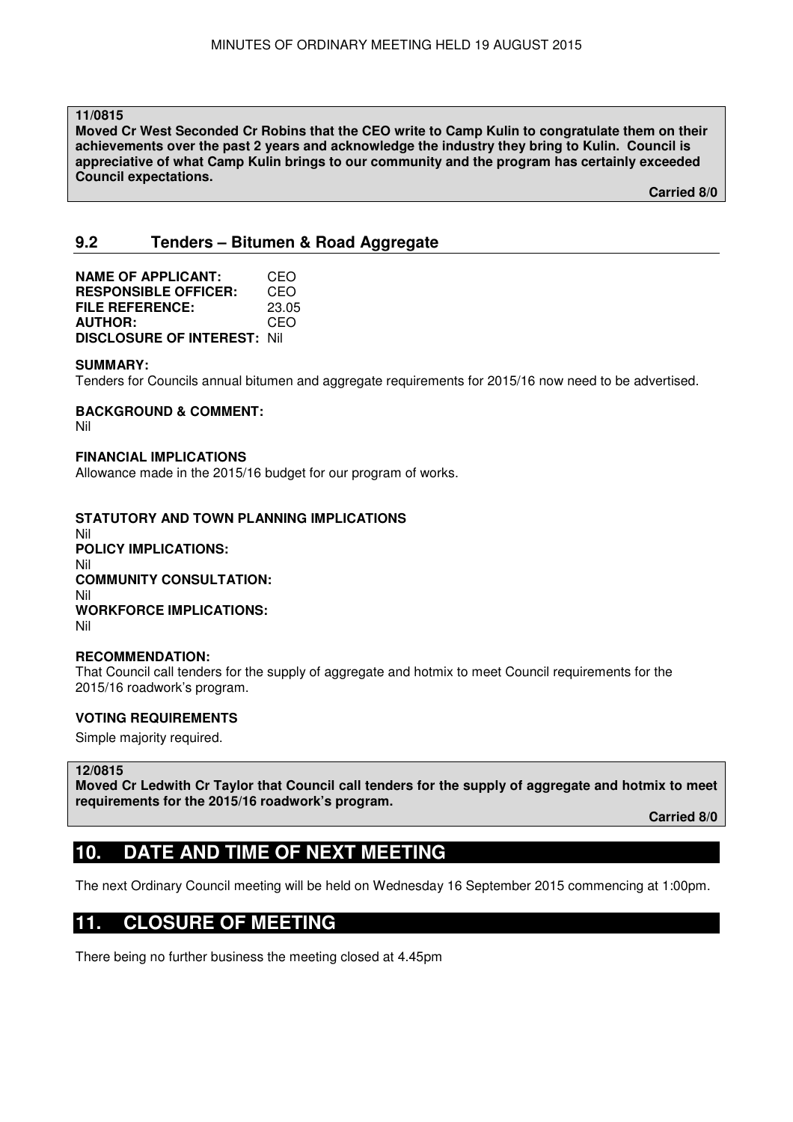**11/0815** 

**Moved Cr West Seconded Cr Robins that the CEO write to Camp Kulin to congratulate them on their achievements over the past 2 years and acknowledge the industry they bring to Kulin. Council is appreciative of what Camp Kulin brings to our community and the program has certainly exceeded Council expectations.** 

 **Carried 8/0** 

# **9.2 Tenders – Bitumen & Road Aggregate**

**NAME OF APPLICANT:** CEO **RESPONSIBLE OFFICER:** CEO **FILE REFERENCE:** 23.05 **AUTHOR:** CEO **DISCLOSURE OF INTEREST:** Nil

#### **SUMMARY:**

Tenders for Councils annual bitumen and aggregate requirements for 2015/16 now need to be advertised.

# **BACKGROUND & COMMENT:**

Nil

#### **FINANCIAL IMPLICATIONS**

Allowance made in the 2015/16 budget for our program of works.

# **STATUTORY AND TOWN PLANNING IMPLICATIONS**

Nil **POLICY IMPLICATIONS:** Nil **COMMUNITY CONSULTATION:** Nil **WORKFORCE IMPLICATIONS:** Nil

#### **RECOMMENDATION:**

That Council call tenders for the supply of aggregate and hotmix to meet Council requirements for the 2015/16 roadwork's program.

#### **VOTING REQUIREMENTS**

Simple majority required.

#### **12/0815**

**Moved Cr Ledwith Cr Taylor that Council call tenders for the supply of aggregate and hotmix to meet requirements for the 2015/16 roadwork's program.** 

**Carried 8/0** 

# **10. DATE AND TIME OF NEXT MEETING**

The next Ordinary Council meeting will be held on Wednesday 16 September 2015 commencing at 1:00pm.

# **11. CLOSURE OF MEETING**

There being no further business the meeting closed at 4.45pm